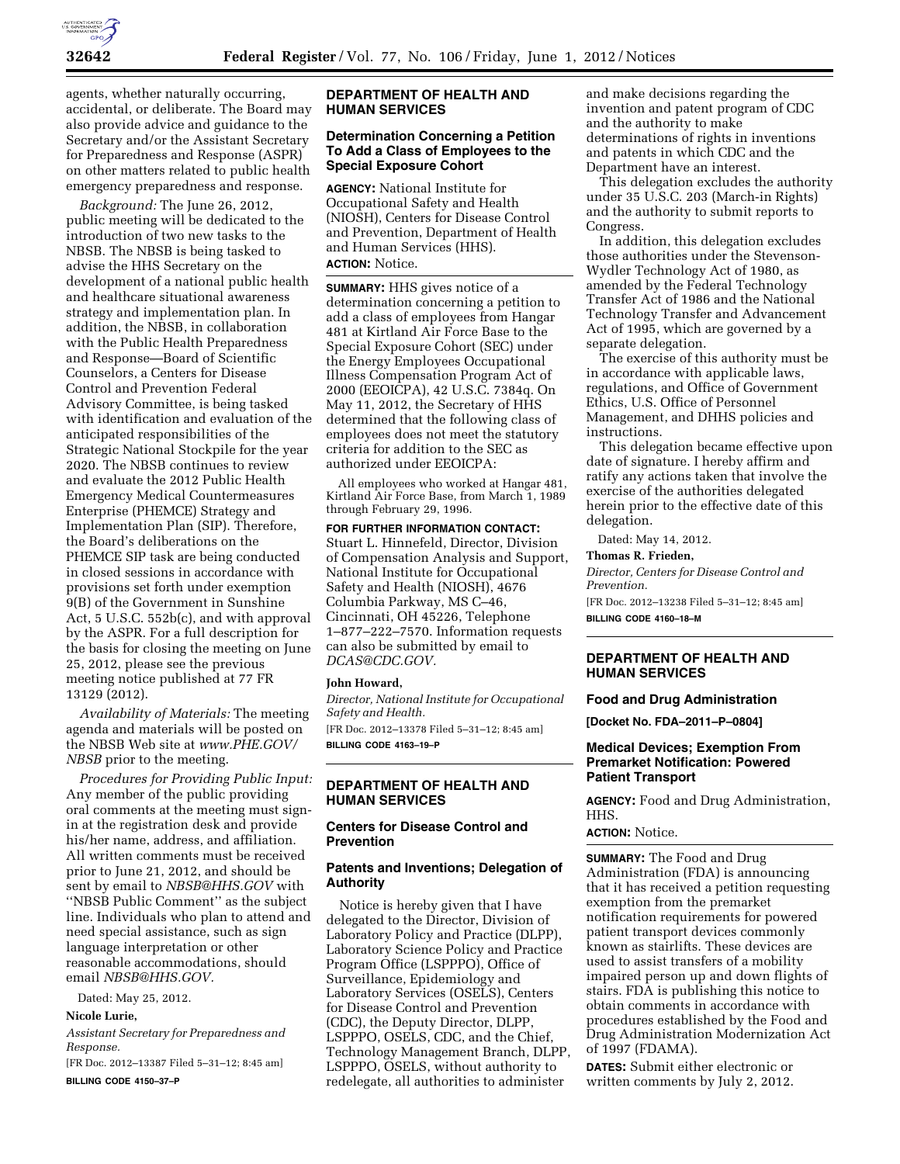

agents, whether naturally occurring, accidental, or deliberate. The Board may also provide advice and guidance to the Secretary and/or the Assistant Secretary for Preparedness and Response (ASPR) on other matters related to public health emergency preparedness and response.

*Background:* The June 26, 2012, public meeting will be dedicated to the introduction of two new tasks to the NBSB. The NBSB is being tasked to advise the HHS Secretary on the development of a national public health and healthcare situational awareness strategy and implementation plan. In addition, the NBSB, in collaboration with the Public Health Preparedness and Response—Board of Scientific Counselors, a Centers for Disease Control and Prevention Federal Advisory Committee, is being tasked with identification and evaluation of the anticipated responsibilities of the Strategic National Stockpile for the year 2020. The NBSB continues to review and evaluate the 2012 Public Health Emergency Medical Countermeasures Enterprise (PHEMCE) Strategy and Implementation Plan (SIP). Therefore, the Board's deliberations on the PHEMCE SIP task are being conducted in closed sessions in accordance with provisions set forth under exemption 9(B) of the Government in Sunshine Act, 5 U.S.C. 552b(c), and with approval by the ASPR. For a full description for the basis for closing the meeting on June 25, 2012, please see the previous meeting notice published at 77 FR 13129 (2012).

*Availability of Materials:* The meeting agenda and materials will be posted on the NBSB Web site at *[www.PHE.GOV/](http://www.PHE.GOV/NBSB) [NBSB](http://www.PHE.GOV/NBSB)* prior to the meeting.

*Procedures for Providing Public Input:*  Any member of the public providing oral comments at the meeting must signin at the registration desk and provide his/her name, address, and affiliation. All written comments must be received prior to June 21, 2012, and should be sent by email to *[NBSB@HHS.GOV](mailto:NBSB@HHS.GOV)* with ''NBSB Public Comment'' as the subject line. Individuals who plan to attend and need special assistance, such as sign language interpretation or other reasonable accommodations, should email *[NBSB@HHS.GOV.](mailto:NBSB@HHS.GOV)* 

Dated: May 25, 2012.

## **Nicole Lurie,**

*Assistant Secretary for Preparedness and Response.* 

[FR Doc. 2012–13387 Filed 5–31–12; 8:45 am] **BILLING CODE 4150–37–P** 

## **DEPARTMENT OF HEALTH AND HUMAN SERVICES**

## **Determination Concerning a Petition To Add a Class of Employees to the Special Exposure Cohort**

**AGENCY:** National Institute for Occupational Safety and Health (NIOSH), Centers for Disease Control and Prevention, Department of Health and Human Services (HHS). **ACTION:** Notice.

**SUMMARY:** HHS gives notice of a determination concerning a petition to add a class of employees from Hangar 481 at Kirtland Air Force Base to the Special Exposure Cohort (SEC) under the Energy Employees Occupational Illness Compensation Program Act of 2000 (EEOICPA), 42 U.S.C. 7384q. On May 11, 2012, the Secretary of HHS determined that the following class of employees does not meet the statutory criteria for addition to the SEC as authorized under EEOICPA:

All employees who worked at Hangar 481, Kirtland Air Force Base, from March 1, 1989 through February 29, 1996.

# **FOR FURTHER INFORMATION CONTACT:**

Stuart L. Hinnefeld, Director, Division of Compensation Analysis and Support, National Institute for Occupational Safety and Health (NIOSH), 4676 Columbia Parkway, MS C–46, Cincinnati, OH 45226, Telephone 1–877–222–7570. Information requests can also be submitted by email to *[DCAS@CDC.GOV.](mailto:DCAS@CDC.GOV)* 

#### **John Howard,**

*Director, National Institute for Occupational Safety and Health.*  [FR Doc. 2012–13378 Filed 5–31–12; 8:45 am] **BILLING CODE 4163–19–P** 

# **DEPARTMENT OF HEALTH AND HUMAN SERVICES**

# **Centers for Disease Control and Prevention**

#### **Patents and Inventions; Delegation of Authority**

Notice is hereby given that I have delegated to the Director, Division of Laboratory Policy and Practice (DLPP), Laboratory Science Policy and Practice Program Office (LSPPPO), Office of Surveillance, Epidemiology and Laboratory Services (OSELS), Centers for Disease Control and Prevention (CDC), the Deputy Director, DLPP, LSPPPO, OSELS, CDC, and the Chief, Technology Management Branch, DLPP, LSPPPO, OSELS, without authority to redelegate, all authorities to administer

and make decisions regarding the invention and patent program of CDC and the authority to make determinations of rights in inventions and patents in which CDC and the Department have an interest.

This delegation excludes the authority under 35 U.S.C. 203 (March-in Rights) and the authority to submit reports to Congress.

In addition, this delegation excludes those authorities under the Stevenson-Wydler Technology Act of 1980, as amended by the Federal Technology Transfer Act of 1986 and the National Technology Transfer and Advancement Act of 1995, which are governed by a separate delegation.

The exercise of this authority must be in accordance with applicable laws, regulations, and Office of Government Ethics, U.S. Office of Personnel Management, and DHHS policies and instructions.

This delegation became effective upon date of signature. I hereby affirm and ratify any actions taken that involve the exercise of the authorities delegated herein prior to the effective date of this delegation.

Dated: May 14, 2012.

# **Thomas R. Frieden,**

*Director, Centers for Disease Control and Prevention.*  [FR Doc. 2012–13238 Filed 5–31–12; 8:45 am]

**BILLING CODE 4160–18–M** 

#### **DEPARTMENT OF HEALTH AND HUMAN SERVICES**

#### **Food and Drug Administration**

**[Docket No. FDA–2011–P–0804]** 

## **Medical Devices; Exemption From Premarket Notification: Powered Patient Transport**

**AGENCY:** Food and Drug Administration, HHS.

#### **ACTION:** Notice.

**SUMMARY:** The Food and Drug Administration (FDA) is announcing that it has received a petition requesting exemption from the premarket notification requirements for powered patient transport devices commonly known as stairlifts. These devices are used to assist transfers of a mobility impaired person up and down flights of stairs. FDA is publishing this notice to obtain comments in accordance with procedures established by the Food and Drug Administration Modernization Act of 1997 (FDAMA).

**DATES:** Submit either electronic or written comments by July 2, 2012.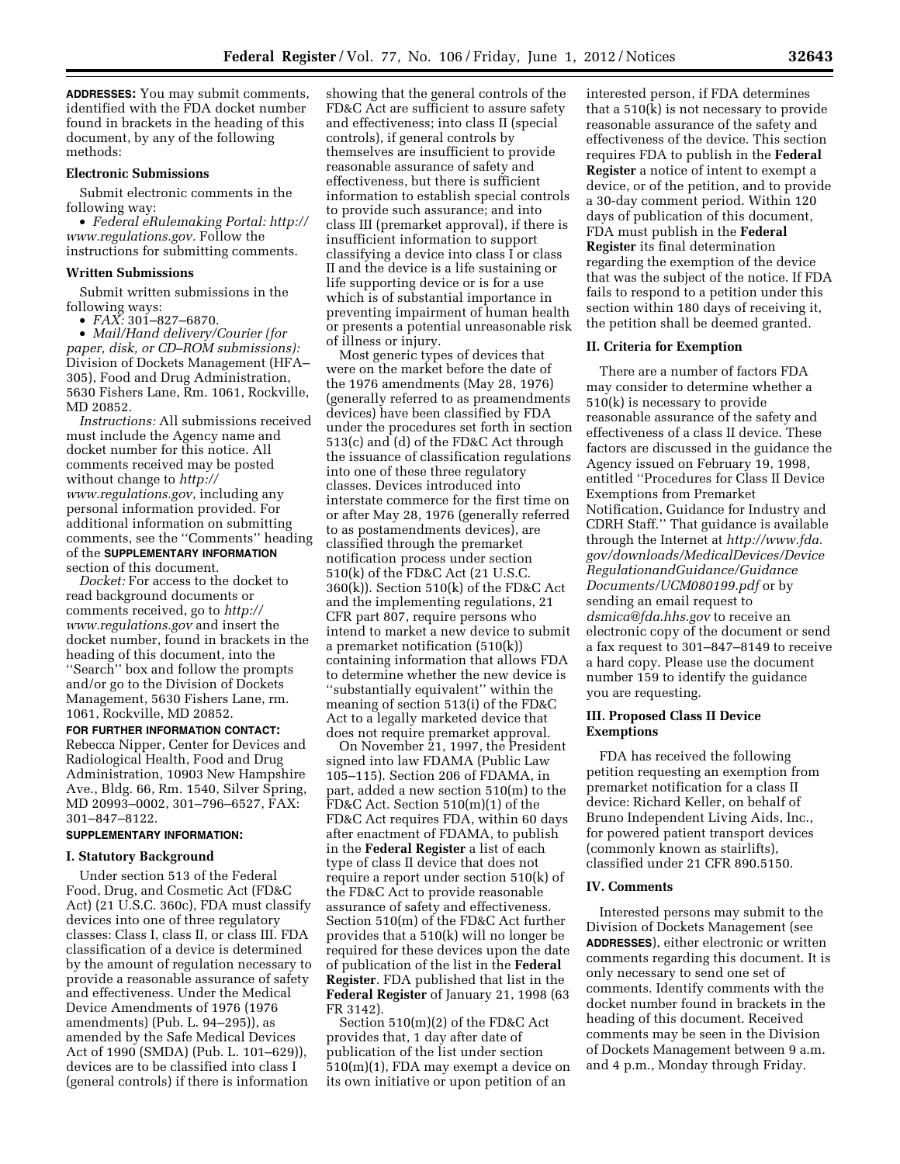**ADDRESSES:** You may submit comments, identified with the FDA docket number found in brackets in the heading of this document, by any of the following methods:

#### **Electronic Submissions**

Submit electronic comments in the following way:

• *Federal eRulemaking Portal: [http://](http://www.regulations.gov)  [www.regulations.gov.](http://www.regulations.gov)* Follow the instructions for submitting comments.

### **Written Submissions**

Submit written submissions in the following ways:

• *FAX:* 301–827–6870.

• *Mail/Hand delivery/Courier (for paper, disk, or CD–ROM submissions):*  Division of Dockets Management (HFA– 305), Food and Drug Administration, 5630 Fishers Lane, Rm. 1061, Rockville, MD 20852.

*Instructions:* All submissions received must include the Agency name and docket number for this notice. All comments received may be posted without change to *[http://](http://www.regulations.gov) [www.regulations.gov](http://www.regulations.gov)*, including any personal information provided. For additional information on submitting comments, see the ''Comments'' heading of the **SUPPLEMENTARY INFORMATION** section of this document.

*Docket:* For access to the docket to read background documents or comments received, go to *[http://](http://www.regulations.gov)  [www.regulations.gov](http://www.regulations.gov)* and insert the docket number, found in brackets in the heading of this document, into the ''Search'' box and follow the prompts and/or go to the Division of Dockets Management, 5630 Fishers Lane, rm. 1061, Rockville, MD 20852.

**FOR FURTHER INFORMATION CONTACT:**  Rebecca Nipper, Center for Devices and Radiological Health, Food and Drug Administration, 10903 New Hampshire Ave., Bldg. 66, Rm. 1540, Silver Spring, MD 20993–0002, 301–796–6527, FAX: 301–847–8122.

#### **SUPPLEMENTARY INFORMATION:**

#### **I. Statutory Background**

Under section 513 of the Federal Food, Drug, and Cosmetic Act (FD&C Act) (21 U.S.C. 360c), FDA must classify devices into one of three regulatory classes: Class I, class II, or class III. FDA classification of a device is determined by the amount of regulation necessary to provide a reasonable assurance of safety and effectiveness. Under the Medical Device Amendments of 1976 (1976 amendments) (Pub. L. 94–295)), as amended by the Safe Medical Devices Act of 1990 (SMDA) (Pub. L. 101–629)), devices are to be classified into class I (general controls) if there is information

showing that the general controls of the FD&C Act are sufficient to assure safety and effectiveness; into class II (special controls), if general controls by themselves are insufficient to provide reasonable assurance of safety and effectiveness, but there is sufficient information to establish special controls to provide such assurance; and into class III (premarket approval), if there is insufficient information to support classifying a device into class I or class II and the device is a life sustaining or life supporting device or is for a use which is of substantial importance in preventing impairment of human health or presents a potential unreasonable risk of illness or injury.

Most generic types of devices that were on the market before the date of the 1976 amendments (May 28, 1976) (generally referred to as preamendments devices) have been classified by FDA under the procedures set forth in section 513(c) and (d) of the FD&C Act through the issuance of classification regulations into one of these three regulatory classes. Devices introduced into interstate commerce for the first time on or after May 28, 1976 (generally referred to as postamendments devices), are classified through the premarket notification process under section 510(k) of the FD&C Act (21 U.S.C. 360(k)). Section 510(k) of the FD&C Act and the implementing regulations, 21 CFR part 807, require persons who intend to market a new device to submit a premarket notification (510(k)) containing information that allows FDA to determine whether the new device is ''substantially equivalent'' within the meaning of section 513(i) of the FD&C Act to a legally marketed device that does not require premarket approval.

On November 21, 1997, the President signed into law FDAMA (Public Law 105–115). Section 206 of FDAMA, in part, added a new section 510(m) to the FD&C Act. Section 510(m)(1) of the FD&C Act requires FDA, within 60 days after enactment of FDAMA, to publish in the **Federal Register** a list of each type of class II device that does not require a report under section 510(k) of the FD&C Act to provide reasonable assurance of safety and effectiveness. Section 510(m) of the FD&C Act further provides that a 510(k) will no longer be required for these devices upon the date of publication of the list in the **Federal Register**. FDA published that list in the **Federal Register** of January 21, 1998 (63 FR 3142).

Section 510(m)(2) of the FD&C Act provides that, 1 day after date of publication of the list under section 510(m)(1), FDA may exempt a device on its own initiative or upon petition of an

interested person, if FDA determines that a 510(k) is not necessary to provide reasonable assurance of the safety and effectiveness of the device. This section requires FDA to publish in the **Federal Register** a notice of intent to exempt a device, or of the petition, and to provide a 30-day comment period. Within 120 days of publication of this document, FDA must publish in the **Federal Register** its final determination regarding the exemption of the device that was the subject of the notice. If FDA fails to respond to a petition under this section within 180 days of receiving it, the petition shall be deemed granted.

#### **II. Criteria for Exemption**

There are a number of factors FDA may consider to determine whether a 510(k) is necessary to provide reasonable assurance of the safety and effectiveness of a class II device. These factors are discussed in the guidance the Agency issued on February 19, 1998, entitled ''Procedures for Class II Device Exemptions from Premarket Notification, Guidance for Industry and CDRH Staff.'' That guidance is available through the Internet at *[http://www.fda.](http://www.fda.gov/downloads/MedicalDevices/DeviceRegulationandGuidance/GuidanceDocuments/UCM080199.pdf) [gov/downloads/MedicalDevices/Device](http://www.fda.gov/downloads/MedicalDevices/DeviceRegulationandGuidance/GuidanceDocuments/UCM080199.pdf) [RegulationandGuidance/Guidance](http://www.fda.gov/downloads/MedicalDevices/DeviceRegulationandGuidance/GuidanceDocuments/UCM080199.pdf) [Documents/UCM080199.pdf](http://www.fda.gov/downloads/MedicalDevices/DeviceRegulationandGuidance/GuidanceDocuments/UCM080199.pdf)* or by sending an email request to *[dsmica@fda.hhs.gov](mailto:dsmica@fda.hhs.gov)* to receive an electronic copy of the document or send a fax request to 301–847–8149 to receive a hard copy. Please use the document number 159 to identify the guidance you are requesting.

### **III. Proposed Class II Device Exemptions**

FDA has received the following petition requesting an exemption from premarket notification for a class II device: Richard Keller, on behalf of Bruno Independent Living Aids, Inc., for powered patient transport devices (commonly known as stairlifts), classified under 21 CFR 890.5150.

#### **IV. Comments**

Interested persons may submit to the Division of Dockets Management (see **ADDRESSES**), either electronic or written comments regarding this document. It is only necessary to send one set of comments. Identify comments with the docket number found in brackets in the heading of this document. Received comments may be seen in the Division of Dockets Management between 9 a.m. and 4 p.m., Monday through Friday.